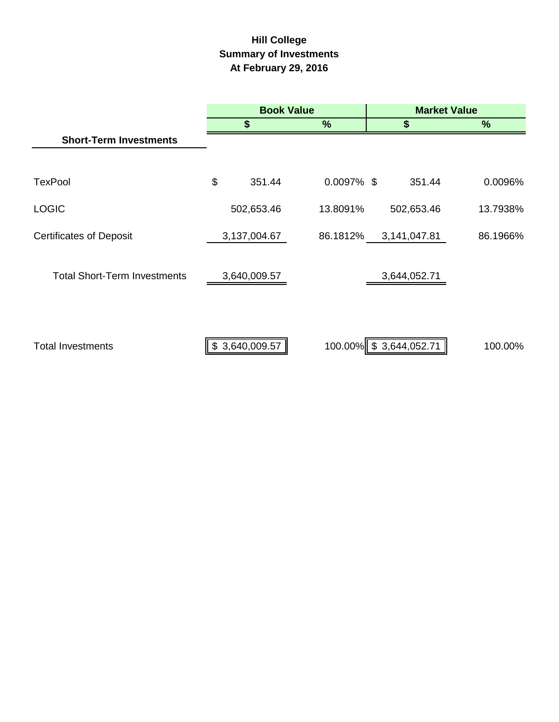# **Hill College Summary of Investments At February 29, 2016**

|                                     | <b>Book Value</b> |                |               | <b>Market Value</b> |                        |          |  |
|-------------------------------------|-------------------|----------------|---------------|---------------------|------------------------|----------|--|
|                                     | \$                |                | $\%$          |                     | \$                     | %        |  |
| <b>Short-Term Investments</b>       |                   |                |               |                     |                        |          |  |
|                                     |                   |                |               |                     |                        |          |  |
| <b>TexPool</b>                      | \$                | 351.44         | $0.0097\%$ \$ |                     | 351.44                 | 0.0096%  |  |
| <b>LOGIC</b>                        |                   | 502,653.46     | 13.8091%      |                     | 502,653.46             | 13.7938% |  |
| <b>Certificates of Deposit</b>      |                   | 3,137,004.67   | 86.1812%      |                     | 3,141,047.81           | 86.1966% |  |
| <b>Total Short-Term Investments</b> |                   | 3,640,009.57   |               |                     | 3,644,052.71           |          |  |
|                                     |                   |                |               |                     |                        |          |  |
| <b>Total Investments</b>            |                   | \$3,640,009.57 |               |                     | 100.00% \$3,644,052.71 | 100.00%  |  |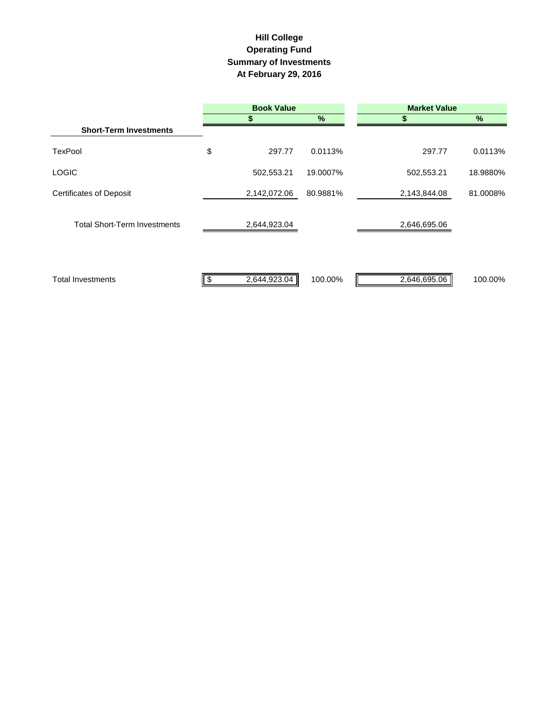# **Hill College Operating Fund Summary of Investments At February 29, 2016**

|                                     | <b>Book Value</b>  |               | <b>Market Value</b> |          |  |  |  |
|-------------------------------------|--------------------|---------------|---------------------|----------|--|--|--|
|                                     |                    | $\frac{9}{6}$ | S                   | $\%$     |  |  |  |
| <b>Short-Term Investments</b>       |                    |               |                     |          |  |  |  |
| <b>TexPool</b>                      | \$<br>297.77       | 0.0113%       | 297.77              | 0.0113%  |  |  |  |
| <b>LOGIC</b>                        | 502,553.21         | 19.0007%      | 502,553.21          | 18.9880% |  |  |  |
| <b>Certificates of Deposit</b>      | 2,142,072.06       | 80.9881%      | 2,143,844.08        | 81.0008% |  |  |  |
| <b>Total Short-Term Investments</b> | 2,644,923.04       |               | 2,646,695.06        |          |  |  |  |
| <b>Total Investments</b>            | \$<br>2,644,923.04 | 100.00%       | 2,646,695.06        | 100.00%  |  |  |  |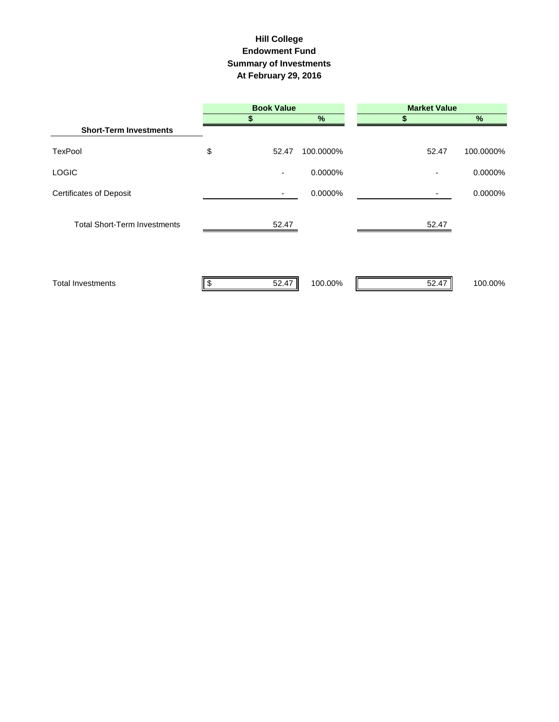### **Hill College Endowment Fund Summary of Investments At February 29, 2016**

|                                     | <b>Book Value</b> |           | <b>Market Value</b> |               |  |  |  |
|-------------------------------------|-------------------|-----------|---------------------|---------------|--|--|--|
|                                     |                   | $\%$      |                     | $\frac{9}{6}$ |  |  |  |
| <b>Short-Term Investments</b>       |                   |           |                     |               |  |  |  |
| <b>TexPool</b>                      | \$<br>52.47       | 100.0000% | 52.47               | 100.0000%     |  |  |  |
| <b>LOGIC</b>                        | ۰                 | 0.0000%   |                     | 0.0000%       |  |  |  |
| <b>Certificates of Deposit</b>      | ۰                 | 0.0000%   |                     | 0.0000%       |  |  |  |
| <b>Total Short-Term Investments</b> | 52.47             |           | 52.47               |               |  |  |  |
| <b>Total Investments</b>            | 52.47<br>\$       | 100.00%   | 52.47               | 100.00%       |  |  |  |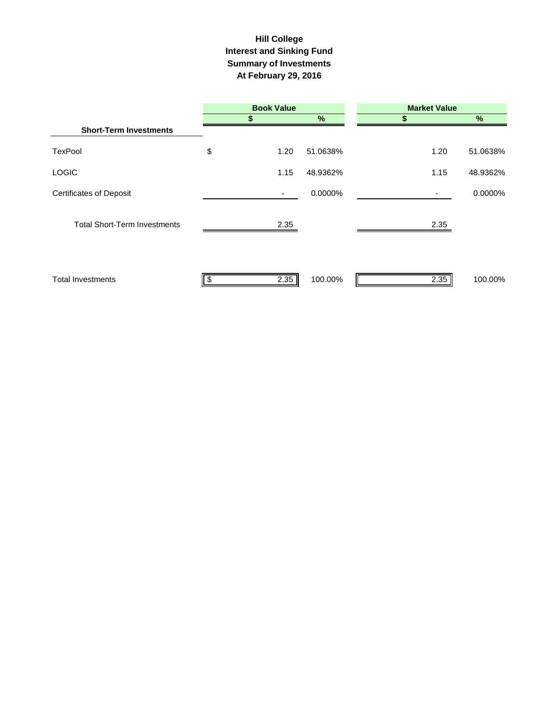### **Interest and Sinking Fund Summary of Investments At February 29, 2016 Hill College**

|                                     | <b>Book Value</b> |      | <b>Market Value</b> |      |          |
|-------------------------------------|-------------------|------|---------------------|------|----------|
|                                     |                   |      | %                   | 5    | $\%$     |
| <b>Short-Term Investments</b>       |                   |      |                     |      |          |
| <b>TexPool</b>                      | \$                | 1.20 | 51.0638%            | 1.20 | 51.0638% |
| <b>LOGIC</b>                        |                   | 1.15 | 48.9362%            | 1.15 | 48.9362% |
| <b>Certificates of Deposit</b>      |                   | ٠    | 0.0000%             | ۰.   | 0.0000%  |
| <b>Total Short-Term Investments</b> |                   | 2.35 |                     | 2.35 |          |
| <b>Total Investments</b>            | -\$               | 2.35 | 100.00%             | 2.35 | 100.00%  |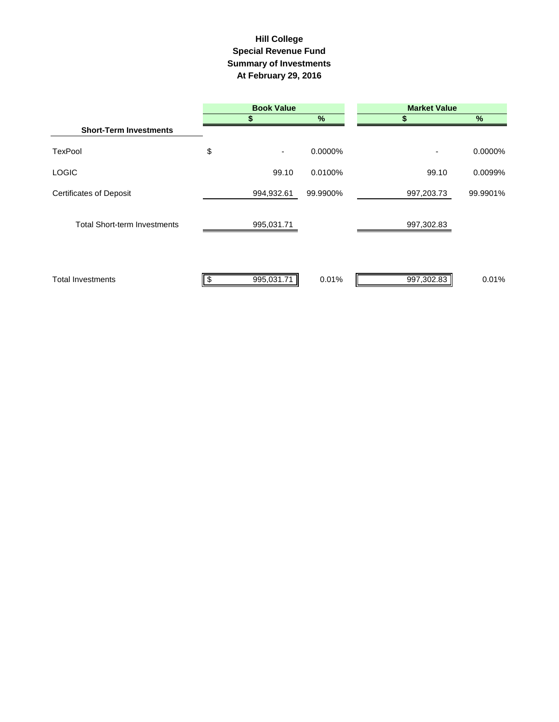# **Summary of Investments At February 29, 2016 Special Revenue Fund Hill College**

|                                     | <b>Book Value</b> |            |          | <b>Market Value</b> |          |  |  |
|-------------------------------------|-------------------|------------|----------|---------------------|----------|--|--|
|                                     |                   |            | %        |                     | %        |  |  |
| <b>Short-Term Investments</b>       |                   |            |          |                     |          |  |  |
| <b>TexPool</b>                      | \$                | ۰          | 0.0000%  | ٠                   | 0.0000%  |  |  |
| <b>LOGIC</b>                        |                   | 99.10      | 0.0100%  | 99.10               | 0.0099%  |  |  |
| <b>Certificates of Deposit</b>      |                   | 994,932.61 | 99.9900% | 997,203.73          | 99.9901% |  |  |
| <b>Total Short-term Investments</b> |                   | 995,031.71 |          | 997,302.83          |          |  |  |
| <b>Total Investments</b>            | \$                | 995,031.71 | 0.01%    | 997,302.83          | 0.01%    |  |  |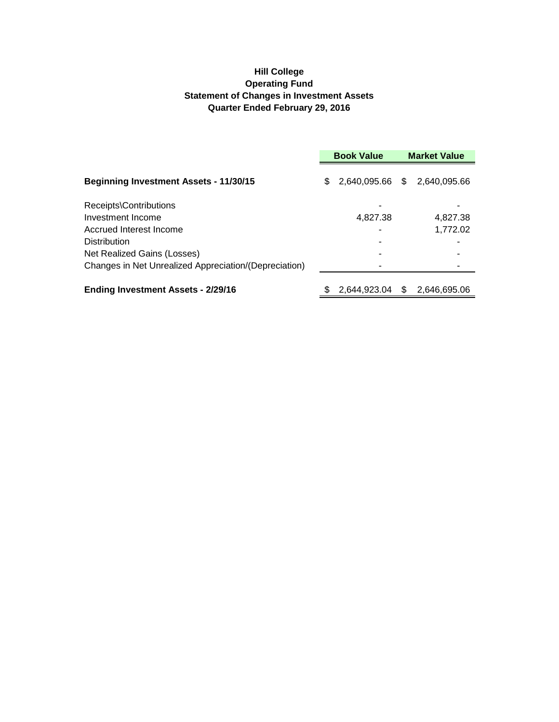# **Hill College Operating Fund Statement of Changes in Investment Assets Quarter Ended February 29, 2016**

|                                                       | <b>Book Value</b> |                 |    | <b>Market Value</b> |  |
|-------------------------------------------------------|-------------------|-----------------|----|---------------------|--|
| <b>Beginning Investment Assets - 11/30/15</b>         | \$                | 2,640,095.66 \$ |    | 2,640,095.66        |  |
| Receipts\Contributions                                |                   |                 |    |                     |  |
| Investment Income                                     |                   | 4.827.38        |    | 4.827.38            |  |
| Accrued Interest Income                               |                   |                 |    | 1,772.02            |  |
| <b>Distribution</b>                                   |                   |                 |    |                     |  |
| Net Realized Gains (Losses)                           |                   |                 |    |                     |  |
| Changes in Net Unrealized Appreciation/(Depreciation) |                   |                 |    |                     |  |
| <b>Ending Investment Assets - 2/29/16</b>             |                   | 2,644,923.04    | \$ | 2,646,695.06        |  |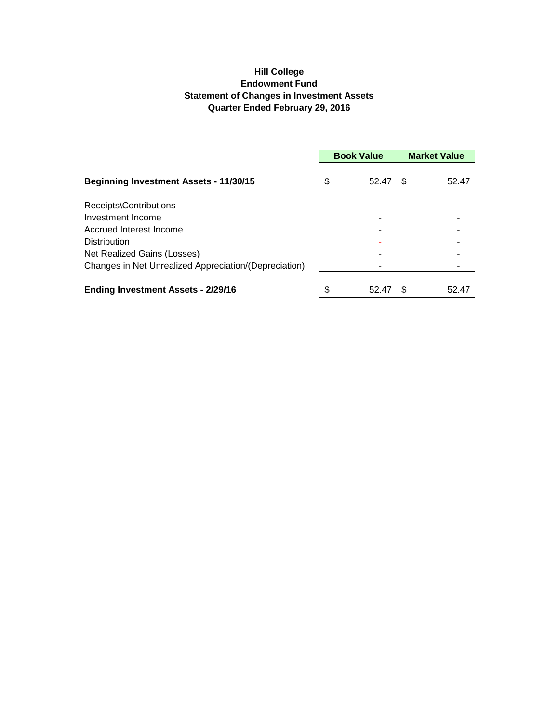# **Hill College Endowment Fund Statement of Changes in Investment Assets Quarter Ended February 29, 2016**

|                                                       | <b>Book Value</b> |       | <b>Market Value</b> |       |
|-------------------------------------------------------|-------------------|-------|---------------------|-------|
| <b>Beginning Investment Assets - 11/30/15</b>         | \$                | 52.47 | \$.                 | 52.47 |
| Receipts\Contributions                                |                   |       |                     |       |
| Investment Income                                     |                   |       |                     |       |
| Accrued Interest Income                               |                   |       |                     |       |
| Distribution                                          |                   |       |                     |       |
| Net Realized Gains (Losses)                           |                   |       |                     |       |
| Changes in Net Unrealized Appreciation/(Depreciation) |                   |       |                     |       |
| <b>Ending Investment Assets - 2/29/16</b>             |                   | 52.47 | £.                  | 52.47 |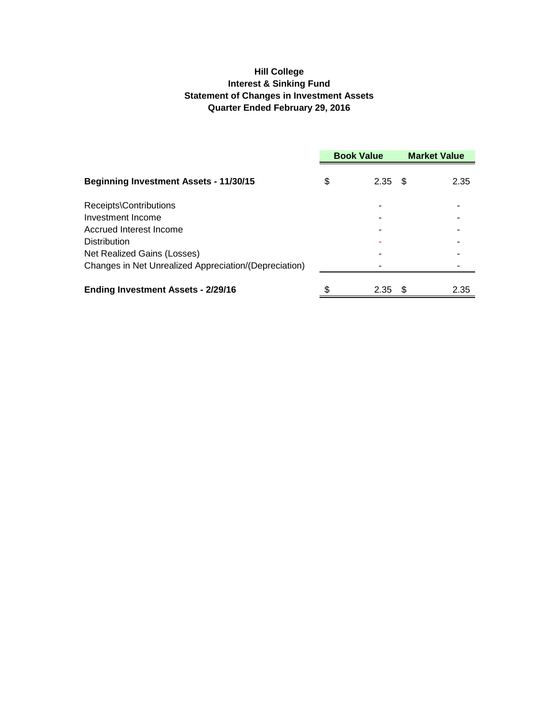# **Hill College Interest & Sinking Fund Statement of Changes in Investment Assets Quarter Ended February 29, 2016**

|                                                       | <b>Book Value</b> |                   | <b>Market Value</b> |      |
|-------------------------------------------------------|-------------------|-------------------|---------------------|------|
| <b>Beginning Investment Assets - 11/30/15</b>         | \$                | 2.35              | - \$                | 2.35 |
| Receipts\Contributions                                |                   |                   |                     |      |
| Investment Income                                     |                   |                   |                     |      |
| Accrued Interest Income                               |                   |                   |                     |      |
| Distribution                                          |                   |                   |                     |      |
| Net Realized Gains (Losses)                           |                   |                   |                     |      |
| Changes in Net Unrealized Appreciation/(Depreciation) |                   |                   |                     |      |
| <b>Ending Investment Assets - 2/29/16</b>             |                   | 2.35 <sup>5</sup> |                     | 2.35 |